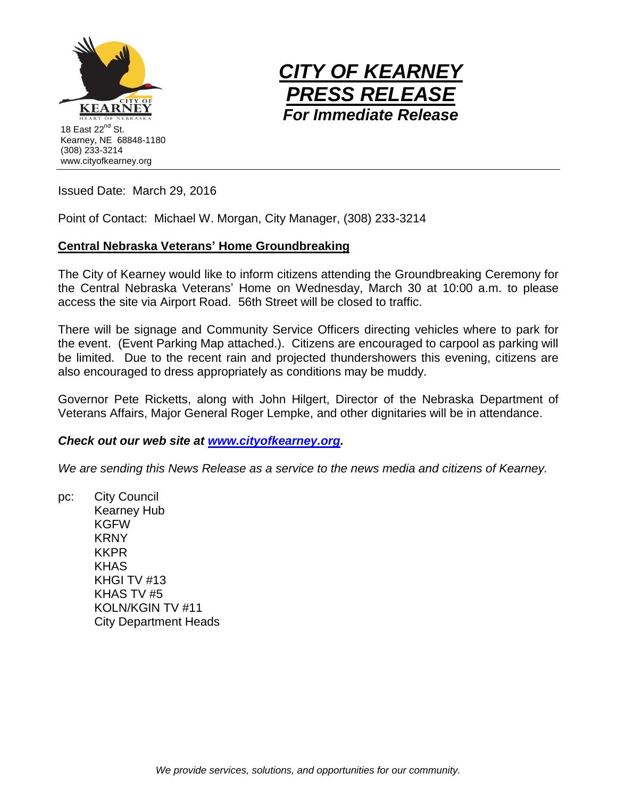



Issued Date: March 29, 2016

Point of Contact: Michael W. Morgan, City Manager, (308) 233-3214

## **Central Nebraska Veterans' Home Groundbreaking**

The City of Kearney would like to inform citizens attending the Groundbreaking Ceremony for the Central Nebraska Veterans' Home on Wednesday, March 30 at 10:00 a.m. to please access the site via Airport Road. 56th Street will be closed to traffic.

There will be signage and Community Service Officers directing vehicles where to park for the event. (Event Parking Map attached.). Citizens are encouraged to carpool as parking will be limited. Due to the recent rain and projected thundershowers this evening, citizens are also encouraged to dress appropriately as conditions may be muddy.

Governor Pete Ricketts, along with John Hilgert, Director of the Nebraska Department of Veterans Affairs, Major General Roger Lempke, and other dignitaries will be in attendance.

## *Check out our web site at [www.cityofkearney.org.](http://www.cityofkearney.org/)*

*We are sending this News Release as a service to the news media and citizens of Kearney.*

pc: City Council Kearney Hub KGFW **KRNY** KKPR **KHAS** KHGI TV #13 KHAS TV #5 KOLN/KGIN TV #11 City Department Heads